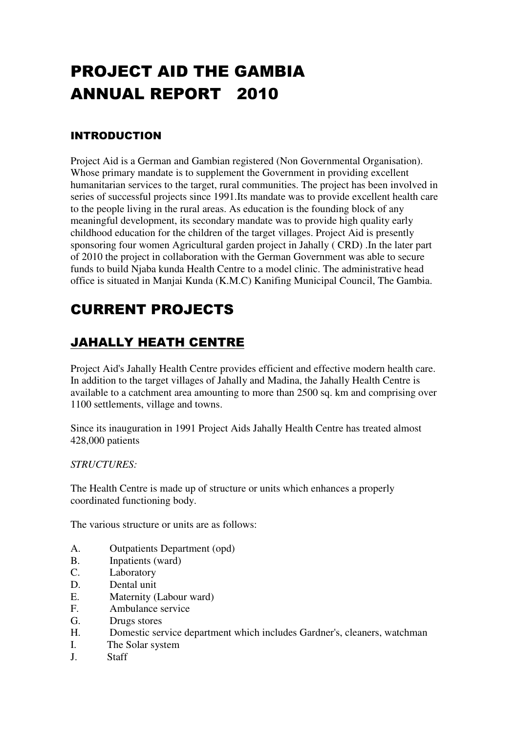# PROJECT AID THE GAMBIA ANNUAL REPORT 2010

#### INTRODUCTION

Project Aid is a German and Gambian registered (Non Governmental Organisation). Whose primary mandate is to supplement the Government in providing excellent humanitarian services to the target, rural communities. The project has been involved in series of successful projects since 1991.Its mandate was to provide excellent health care to the people living in the rural areas. As education is the founding block of any meaningful development, its secondary mandate was to provide high quality early childhood education for the children of the target villages. Project Aid is presently sponsoring four women Agricultural garden project in Jahally ( CRD) .In the later part of 2010 the project in collaboration with the German Government was able to secure funds to build Njaba kunda Health Centre to a model clinic. The administrative head office is situated in Manjai Kunda (K.M.C) Kanifing Municipal Council, The Gambia.

# CURRENT PROJECTS

# JAHALLY HEATH CENTRE

Project Aid's Jahally Health Centre provides efficient and effective modern health care. In addition to the target villages of Jahally and Madina, the Jahally Health Centre is available to a catchment area amounting to more than 2500 sq. km and comprising over 1100 settlements, village and towns.

Since its inauguration in 1991 Project Aids Jahally Health Centre has treated almost 428,000 patients

*STRUCTURES:* 

The Health Centre is made up of structure or units which enhances a properly coordinated functioning body.

The various structure or units are as follows:

- A. Outpatients Department (opd)
- B. Inpatients (ward)
- C. Laboratory
- D. Dental unit
- E. Maternity (Labour ward)
- F. Ambulance service
- G. Drugs stores
- H. Domestic service department which includes Gardner's, cleaners, watchman
- I. The Solar system
- J. Staff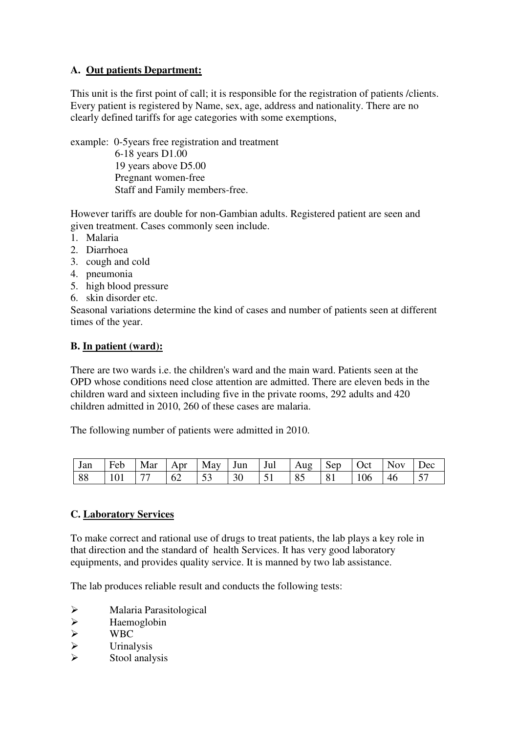#### **A. Out patients Department:**

This unit is the first point of call; it is responsible for the registration of patients /clients. Every patient is registered by Name, sex, age, address and nationality. There are no clearly defined tariffs for age categories with some exemptions,

example: 0-5years free registration and treatment 6-18 years D1.00 19 years above D5.00 Pregnant women-free Staff and Family members-free.

However tariffs are double for non-Gambian adults. Registered patient are seen and given treatment. Cases commonly seen include.

- 1. Malaria
- 2. Diarrhoea
- 3. cough and cold
- 4. pneumonia
- 5. high blood pressure
- 6. skin disorder etc.

Seasonal variations determine the kind of cases and number of patients seen at different times of the year.

#### **B. In patient (ward):**

There are two wards i.e. the children's ward and the main ward. Patients seen at the OPD whose conditions need close attention are admitted. There are eleven beds in the children ward and sixteen including five in the private rooms, 292 adults and 420 children admitted in 2010, 260 of these cases are malaria.

The following number of patients were admitted in 2010.

| $\vert$ Jan | Feb          | Mar | Apr             |                |    | $\mid$ May   Jun   Jul   Aug   Sep |    |    | $\vert$ Oct | <b>Nov</b> | Dec        |
|-------------|--------------|-----|-----------------|----------------|----|------------------------------------|----|----|-------------|------------|------------|
| 88          | $\sqrt{101}$ | 77  | $\overline{62}$ | $\frac{153}{}$ | 30 |                                    | 85 | 81 | $\mid$ 106  | 46         | $\vert$ 57 |

#### **C. Laboratory Services**

To make correct and rational use of drugs to treat patients, the lab plays a key role in that direction and the standard of health Services. It has very good laboratory equipments, and provides quality service. It is manned by two lab assistance.

The lab produces reliable result and conducts the following tests:

- Malaria Parasitological
- → Haemoglobin<br>
→ WBC<br>
→ Urinalysis
- WBC
- Urinalysis
- Stool analysis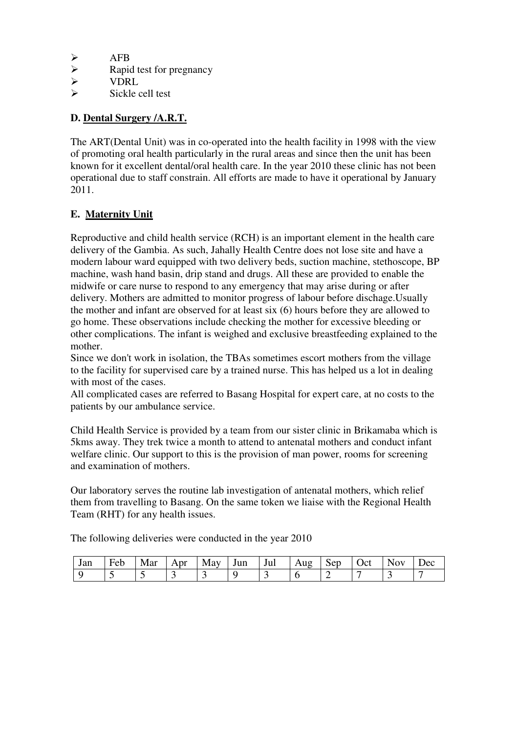- AFB<br>
> AFB
- $\triangleright$  Rapid test for pregnancy<br> $\triangleright$  VDRL
- $\triangleright$  VDRL<br> $\triangleright$  Sickle
- Sickle cell test

#### **D. Dental Surgery /A.R.T.**

The ART(Dental Unit) was in co-operated into the health facility in 1998 with the view of promoting oral health particularly in the rural areas and since then the unit has been known for it excellent dental/oral health care. In the year 2010 these clinic has not been operational due to staff constrain. All efforts are made to have it operational by January 2011.

#### **E. Maternity Unit**

Reproductive and child health service (RCH) is an important element in the health care delivery of the Gambia. As such, Jahally Health Centre does not lose site and have a modern labour ward equipped with two delivery beds, suction machine, stethoscope, BP machine, wash hand basin, drip stand and drugs. All these are provided to enable the midwife or care nurse to respond to any emergency that may arise during or after delivery. Mothers are admitted to monitor progress of labour before dischage.Usually the mother and infant are observed for at least six (6) hours before they are allowed to go home. These observations include checking the mother for excessive bleeding or other complications. The infant is weighed and exclusive breastfeeding explained to the mother.

Since we don't work in isolation, the TBAs sometimes escort mothers from the village to the facility for supervised care by a trained nurse. This has helped us a lot in dealing with most of the cases.

All complicated cases are referred to Basang Hospital for expert care, at no costs to the patients by our ambulance service.

Child Health Service is provided by a team from our sister clinic in Brikamaba which is 5kms away. They trek twice a month to attend to antenatal mothers and conduct infant welfare clinic. Our support to this is the provision of man power, rooms for screening and examination of mothers.

Our laboratory serves the routine lab investigation of antenatal mothers, which relief them from travelling to Basang. On the same token we liaise with the Regional Health Team (RHT) for any health issues.

The following deliveries were conducted in the year 2010

| lon<br>Jall | Ð<br>$H\triangle P$<br>ັ | Mar | nr<br>∸<br>1 N.D. | May | un | Jul | . 11 O<br>Au⊾ | ചന<br>ັບ | )et | N   | $P^{\alpha}$ |
|-------------|--------------------------|-----|-------------------|-----|----|-----|---------------|----------|-----|-----|--------------|
|             |                          |     |                   | ~   |    |     |               |          |     | . . |              |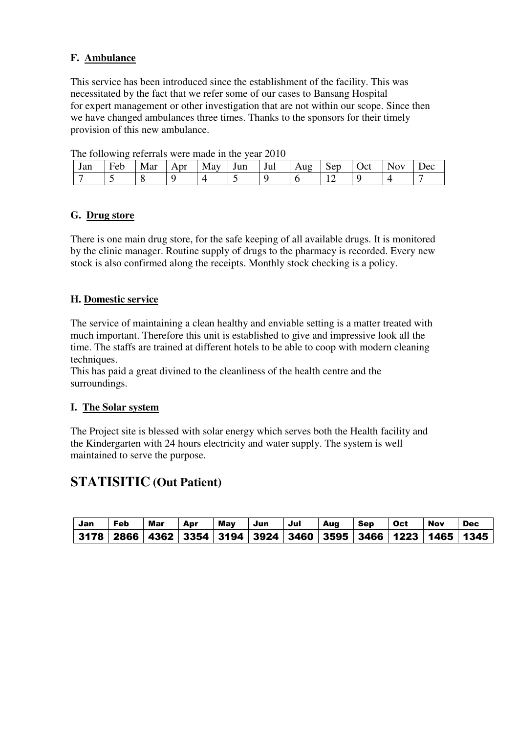#### **F. Ambulance**

This service has been introduced since the establishment of the facility. This was necessitated by the fact that we refer some of our cases to Bansang Hospital for expert management or other investigation that are not within our scope. Since then we have changed ambulances three times. Thanks to the sponsors for their timely provision of this new ambulance.

| Jan | ┳<br>Feb | Mar | nr<br>. D. 1 | May | Jun      | Jul | Aug | Sep | Oct | NOV | $P^{\alpha}$ |
|-----|----------|-----|--------------|-----|----------|-----|-----|-----|-----|-----|--------------|
|     |          |     |              |     | $\sim$ . |     |     | ∸   |     |     |              |

The following referrals were made in the year 2010

#### **G. Drug store**

There is one main drug store, for the safe keeping of all available drugs. It is monitored by the clinic manager. Routine supply of drugs to the pharmacy is recorded. Every new stock is also confirmed along the receipts. Monthly stock checking is a policy.

#### **H. Domestic service**

The service of maintaining a clean healthy and enviable setting is a matter treated with much important. Therefore this unit is established to give and impressive look all the time. The staffs are trained at different hotels to be able to coop with modern cleaning techniques.

This has paid a great divined to the cleanliness of the health centre and the surroundings.

#### **I. The Solar system**

The Project site is blessed with solar energy which serves both the Health facility and the Kindergarten with 24 hours electricity and water supply. The system is well maintained to serve the purpose.

### **STATISITIC (Out Patient)**

| Jan | Feb | Mar | Apr | May | Jun | Jul | Aug | Sep | Oct | Nov | Dec                                                                               |
|-----|-----|-----|-----|-----|-----|-----|-----|-----|-----|-----|-----------------------------------------------------------------------------------|
|     |     |     |     |     |     |     |     |     |     |     | 3178   2866   4362   3354   3194   3924   3460   3595   3466   1223   1465   1345 |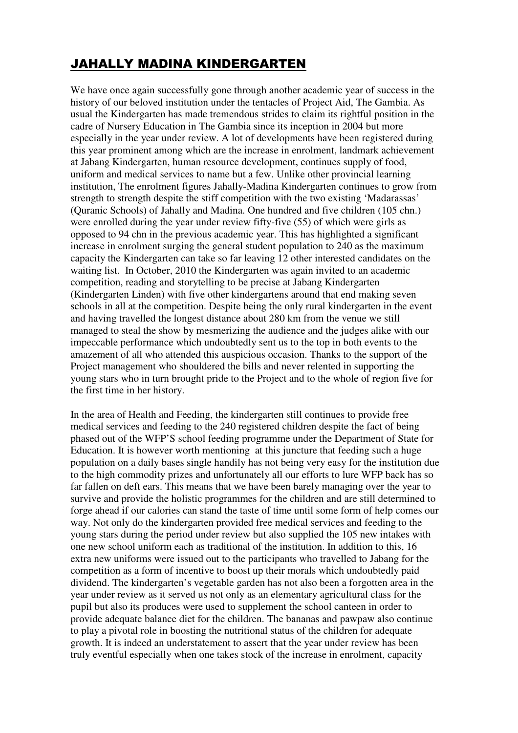# JAHALLY MADINA KINDERGARTEN

We have once again successfully gone through another academic year of success in the history of our beloved institution under the tentacles of Project Aid, The Gambia. As usual the Kindergarten has made tremendous strides to claim its rightful position in the cadre of Nursery Education in The Gambia since its inception in 2004 but more especially in the year under review. A lot of developments have been registered during this year prominent among which are the increase in enrolment, landmark achievement at Jabang Kindergarten, human resource development, continues supply of food, uniform and medical services to name but a few. Unlike other provincial learning institution, The enrolment figures Jahally-Madina Kindergarten continues to grow from strength to strength despite the stiff competition with the two existing 'Madarassas' (Quranic Schools) of Jahally and Madina. One hundred and five children (105 chn.) were enrolled during the year under review fifty-five (55) of which were girls as opposed to 94 chn in the previous academic year. This has highlighted a significant increase in enrolment surging the general student population to 240 as the maximum capacity the Kindergarten can take so far leaving 12 other interested candidates on the waiting list. In October, 2010 the Kindergarten was again invited to an academic competition, reading and storytelling to be precise at Jabang Kindergarten (Kindergarten Linden) with five other kindergartens around that end making seven schools in all at the competition. Despite being the only rural kindergarten in the event and having travelled the longest distance about 280 km from the venue we still managed to steal the show by mesmerizing the audience and the judges alike with our impeccable performance which undoubtedly sent us to the top in both events to the amazement of all who attended this auspicious occasion. Thanks to the support of the Project management who shouldered the bills and never relented in supporting the young stars who in turn brought pride to the Project and to the whole of region five for the first time in her history.

In the area of Health and Feeding, the kindergarten still continues to provide free medical services and feeding to the 240 registered children despite the fact of being phased out of the WFP'S school feeding programme under the Department of State for Education. It is however worth mentioning at this juncture that feeding such a huge population on a daily bases single handily has not being very easy for the institution due to the high commodity prizes and unfortunately all our efforts to lure WFP back has so far fallen on deft ears. This means that we have been barely managing over the year to survive and provide the holistic programmes for the children and are still determined to forge ahead if our calories can stand the taste of time until some form of help comes our way. Not only do the kindergarten provided free medical services and feeding to the young stars during the period under review but also supplied the 105 new intakes with one new school uniform each as traditional of the institution. In addition to this, 16 extra new uniforms were issued out to the participants who travelled to Jabang for the competition as a form of incentive to boost up their morals which undoubtedly paid dividend. The kindergarten's vegetable garden has not also been a forgotten area in the year under review as it served us not only as an elementary agricultural class for the pupil but also its produces were used to supplement the school canteen in order to provide adequate balance diet for the children. The bananas and pawpaw also continue to play a pivotal role in boosting the nutritional status of the children for adequate growth. It is indeed an understatement to assert that the year under review has been truly eventful especially when one takes stock of the increase in enrolment, capacity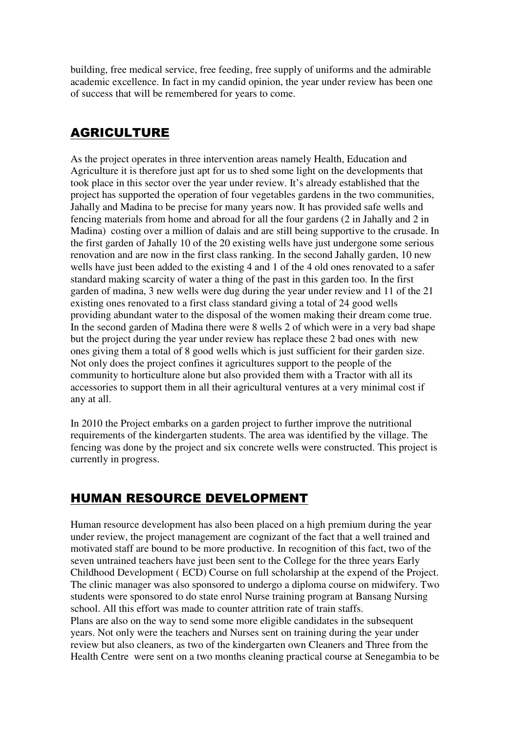building, free medical service, free feeding, free supply of uniforms and the admirable academic excellence. In fact in my candid opinion, the year under review has been one of success that will be remembered for years to come.

## AGRICULTURE

As the project operates in three intervention areas namely Health, Education and Agriculture it is therefore just apt for us to shed some light on the developments that took place in this sector over the year under review. It's already established that the project has supported the operation of four vegetables gardens in the two communities, Jahally and Madina to be precise for many years now. It has provided safe wells and fencing materials from home and abroad for all the four gardens (2 in Jahally and 2 in Madina) costing over a million of dalais and are still being supportive to the crusade. In the first garden of Jahally 10 of the 20 existing wells have just undergone some serious renovation and are now in the first class ranking. In the second Jahally garden, 10 new wells have just been added to the existing 4 and 1 of the 4 old ones renovated to a safer standard making scarcity of water a thing of the past in this garden too. In the first garden of madina, 3 new wells were dug during the year under review and 11 of the 21 existing ones renovated to a first class standard giving a total of 24 good wells providing abundant water to the disposal of the women making their dream come true. In the second garden of Madina there were 8 wells 2 of which were in a very bad shape but the project during the year under review has replace these 2 bad ones with new ones giving them a total of 8 good wells which is just sufficient for their garden size. Not only does the project confines it agricultures support to the people of the community to horticulture alone but also provided them with a Tractor with all its accessories to support them in all their agricultural ventures at a very minimal cost if any at all.

In 2010 the Project embarks on a garden project to further improve the nutritional requirements of the kindergarten students. The area was identified by the village. The fencing was done by the project and six concrete wells were constructed. This project is currently in progress.

### HUMAN RESOURCE DEVELOPMENT

Human resource development has also been placed on a high premium during the year under review, the project management are cognizant of the fact that a well trained and motivated staff are bound to be more productive. In recognition of this fact, two of the seven untrained teachers have just been sent to the College for the three years Early Childhood Development ( ECD) Course on full scholarship at the expend of the Project. The clinic manager was also sponsored to undergo a diploma course on midwifery. Two students were sponsored to do state enrol Nurse training program at Bansang Nursing school. All this effort was made to counter attrition rate of train staffs. Plans are also on the way to send some more eligible candidates in the subsequent years. Not only were the teachers and Nurses sent on training during the year under review but also cleaners, as two of the kindergarten own Cleaners and Three from the Health Centre were sent on a two months cleaning practical course at Senegambia to be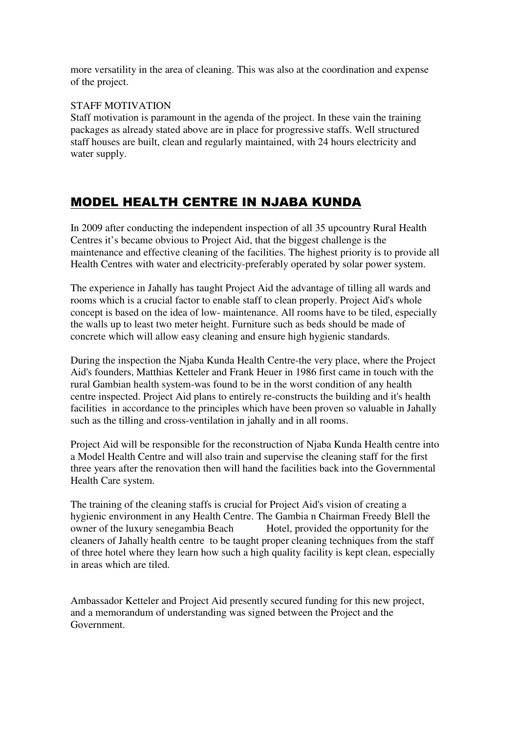more versatility in the area of cleaning. This was also at the coordination and expense of the project.

#### STAFF MOTIVATION

Staff motivation is paramount in the agenda of the project. In these vain the training packages as already stated above are in place for progressive staffs. Well structured staff houses are built, clean and regularly maintained, with 24 hours electricity and water supply.

### MODEL HEALTH CENTRE IN NJABA KUNDA

In 2009 after conducting the independent inspection of all 35 upcountry Rural Health Centres it's became obvious to Project Aid, that the biggest challenge is the maintenance and effective cleaning of the facilities. The highest priority is to provide all Health Centres with water and electricity-preferably operated by solar power system.

The experience in Jahally has taught Project Aid the advantage of tilling all wards and rooms which is a crucial factor to enable staff to clean properly. Project Aid's whole concept is based on the idea of low- maintenance. All rooms have to be tiled, especially the walls up to least two meter height. Furniture such as beds should be made of concrete which will allow easy cleaning and ensure high hygienic standards.

During the inspection the Njaba Kunda Health Centre-the very place, where the Project Aid's founders, Matthias Ketteler and Frank Heuer in 1986 first came in touch with the rural Gambian health system-was found to be in the worst condition of any health centre inspected. Project Aid plans to entirely re-constructs the building and it's health facilities in accordance to the principles which have been proven so valuable in Jahally such as the tilling and cross-ventilation in jahally and in all rooms.

Project Aid will be responsible for the reconstruction of Njaba Kunda Health centre into a Model Health Centre and will also train and supervise the cleaning staff for the first three years after the renovation then will hand the facilities back into the Governmental Health Care system.

The training of the cleaning staffs is crucial for Project Aid's vision of creating a hygienic environment in any Health Centre. The Gambia n Chairman Freedy Blell the owner of the luxury senegambia Beach Hotel, provided the opportunity for the cleaners of Jahally health centre to be taught proper cleaning techniques from the staff of three hotel where they learn how such a high quality facility is kept clean, especially in areas which are tiled.

Ambassador Ketteler and Project Aid presently secured funding for this new project, and a memorandum of understanding was signed between the Project and the Government.